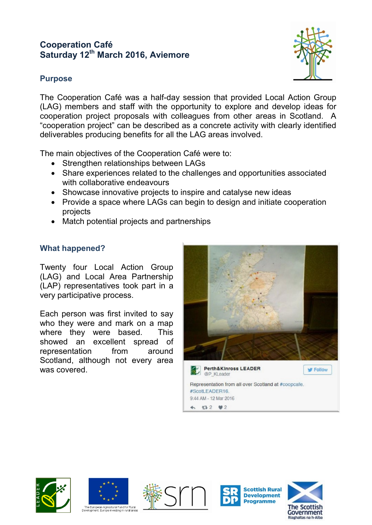# **Cooperation Café Saturday 12th March 2016, Aviemore**



## **Purpose**

The Cooperation Café was a half-day session that provided Local Action Group (LAG) members and staff with the opportunity to explore and develop ideas for cooperation project proposals with colleagues from other areas in Scotland. A "cooperation project" can be described as a concrete activity with clearly identified deliverables producing benefits for all the LAG areas involved.

The main objectives of the Cooperation Café were to:

- Strengthen relationships between LAGs
- Share experiences related to the challenges and opportunities associated with collaborative endeavours
- Showcase innovative projects to inspire and catalyse new ideas
- Provide a space where LAGs can begin to design and initiate cooperation projects
- Match potential projects and partnerships

# **What happened?**

Twenty four Local Action Group (LAG) and Local Area Partnership (LAP) representatives took part in a very participative process.

Each person was first invited to say who they were and mark on a map where they were based. This showed an excellent spread of representation from around Scotland, although not every area was covered.















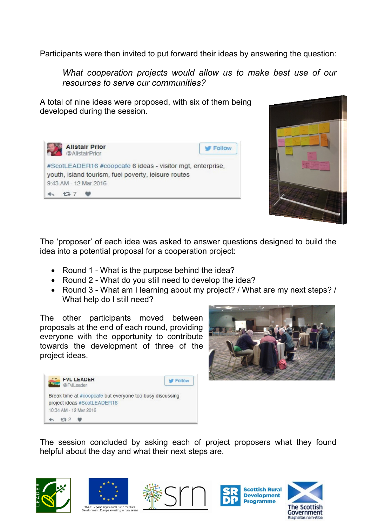Participants were then invited to put forward their ideas by answering the question:

*What cooperation projects would allow us to make best use of our resources to serve our communities?*

A total of nine ideas were proposed, with six of them being developed during the session.





The 'proposer' of each idea was asked to answer questions designed to build the idea into a potential proposal for a cooperation project:

- Round 1 What is the purpose behind the idea?
- Round 2 What do you still need to develop the idea?
- Round 3 What am I learning about my project? / What are my next steps? / What help do I still need?

The other participants moved between proposals at the end of each round, providing everyone with the opportunity to contribute towards the development of three of the project ideas.





The session concluded by asking each of project proposers what they found helpful about the day and what their next steps are.











ne<br>La European Agricultural Fund for Rural<br>velopment: Furope investing in rural are: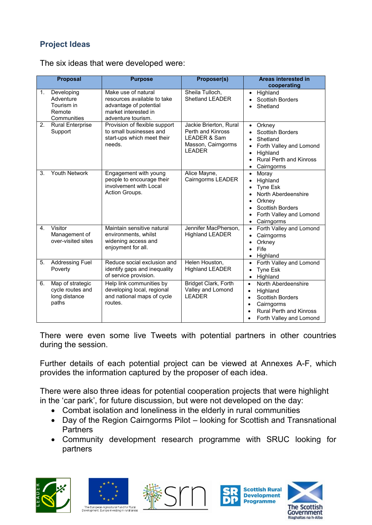# **Project Ideas**

|               | <b>Proposal</b>                                       | <b>Purpose</b>                                                                                                             | Proposer(s)                                                                                        | Areas interested in<br>cooperating                                                                                                                                                                                           |
|---------------|-------------------------------------------------------|----------------------------------------------------------------------------------------------------------------------------|----------------------------------------------------------------------------------------------------|------------------------------------------------------------------------------------------------------------------------------------------------------------------------------------------------------------------------------|
| 1.<br>Remote  | Developing<br>Adventure<br>Tourism in<br>Communities  | Make use of natural<br>resources available to take<br>advantage of potential<br>market interested in<br>adventure tourism. | Sheila Tulloch,<br><b>Shetland LEADER</b>                                                          | Highland<br>$\bullet$<br><b>Scottish Borders</b><br>Shetland                                                                                                                                                                 |
| 2.<br>Support | <b>Rural Enterprise</b>                               | Provision of flexible support<br>to small businesses and<br>start-ups which meet their<br>needs.                           | Jackie Brierton, Rural<br>Perth and Kinross<br>LEADER & Sam<br>Masson, Cairngorms<br><b>LEADER</b> | Orkney<br>$\bullet$<br><b>Scottish Borders</b><br>Shetland<br>$\bullet$<br>Forth Valley and Lomond<br>$\bullet$<br>Highland<br>$\bullet$<br><b>Rural Perth and Kinross</b><br>$\bullet$<br>Cairngorms<br>$\bullet$           |
| 3.            | <b>Youth Network</b>                                  | Engagement with young<br>people to encourage their<br>involvement with Local<br>Action Groups.                             | Alice Mayne,<br>Cairngorms LEADER                                                                  | Moray<br>$\bullet$<br>Highland<br>$\bullet$<br><b>Tyne Esk</b><br>$\bullet$<br>North Aberdeenshire<br>Ċ<br>Orkney<br>$\bullet$<br><b>Scottish Borders</b><br>Forth Valley and Lomond<br>$\bullet$<br>Cairngorms<br>$\bullet$ |
| Visitor<br>4. | Management of<br>over-visited sites                   | Maintain sensitive natural<br>environments, whilst<br>widening access and<br>enjoyment for all.                            | Jennifer MacPherson,<br><b>Highland LEADER</b>                                                     | Forth Valley and Lomond<br>$\bullet$<br>Cairngorms<br>$\bullet$<br>Orkney<br>$\bullet$<br>Fife<br>$\bullet$<br>Highland<br>$\bullet$                                                                                         |
| 5.<br>Poverty | <b>Addressing Fuel</b>                                | Reduce social exclusion and<br>identify gaps and inequality<br>of service provision.                                       | Helen Houston,<br><b>Highland LEADER</b>                                                           | Forth Valley and Lomond<br>$\bullet$<br><b>Tyne Esk</b><br>$\bullet$<br>Highland<br>$\bullet$                                                                                                                                |
| 6.<br>paths   | Map of strategic<br>cycle routes and<br>long distance | Help link communities by<br>developing local, regional<br>and national maps of cycle<br>routes.                            | Bridget Clark, Forth<br>Valley and Lomond<br><b>LEADER</b>                                         | North Aberdeenshire<br>$\bullet$<br>Highland<br>$\bullet$<br><b>Scottish Borders</b><br>$\bullet$<br>Cairngorms<br>$\bullet$<br><b>Rural Perth and Kinross</b><br>Forth Valley and Lomond                                    |

The six ideas that were developed were:

There were even some live Tweets with potential partners in other countries during the session.

Further details of each potential project can be viewed at Annexes A-F, which provides the information captured by the proposer of each idea.

There were also three ideas for potential cooperation projects that were highlight in the 'car park', for future discussion, but were not developed on the day:

- Combat isolation and loneliness in the elderly in rural communities
- Day of the Region Cairngorms Pilot looking for Scottish and Transnational **Partners**
- Community development research programme with SRUC looking for partners









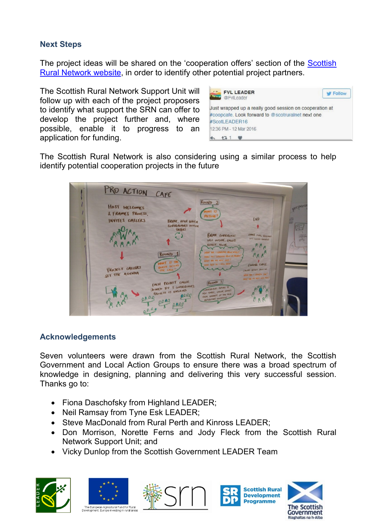## **Next Steps**

The project ideas will be shared on the 'cooperation offers' section of the Scottish [Rural Network website,](http://www.ruralnetwork.scot/cooperation) in order to identify other potential project partners.

The Scottish Rural Network Support Unit will follow up with each of the project proposers to identify what support the SRN can offer to develop the project further and, where possible, enable it to progress to an application for funding.



The Scottish Rural Network is also considering using a similar process to help identify potential cooperation projects in the future



## **Acknowledgements**

Seven volunteers were drawn from the Scottish Rural Network, the Scottish Government and Local Action Groups to ensure there was a broad spectrum of knowledge in designing, planning and delivering this very successful session. Thanks go to:

- Fiona Daschofsky from Highland LEADER;
- Neil Ramsay from Tyne Esk LEADER;
- Steve MacDonald from Rural Perth and Kinross LEADER;
- Don Morrison, Norette Ferns and Jody Fleck from the Scottish Rural Network Support Unit; and
- Vicky Dunlop from the Scottish Government LEADER Team











The European Agricultural Fund for Rural<br>Development: Furope investing in rural area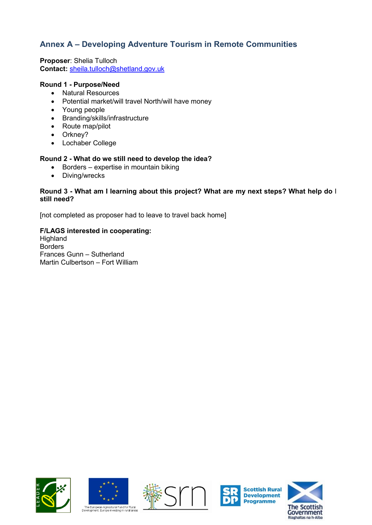## **Annex A – Developing Adventure Tourism in Remote Communities**

**Proposer**: Shelia Tulloch **Contact:** [sheila.tulloch@shetland.gov.uk](mailto:sheila.tulloch@shetland.gov.uk)

## **Round 1 - Purpose/Need**

- Natural Resources
- Potential market/will travel North/will have money
- Young people
- Branding/skills/infrastructure
- Route map/pilot
- Orkney?
- Lochaber College

## **Round 2 - What do we still need to develop the idea?**

- Borders expertise in mountain biking
- Diving/wrecks

### **Round 3 - What am I learning about this project? What are my next steps? What help do** I **still need?**

[not completed as proposer had to leave to travel back home]

## **F/LAGS interested in cooperating:**

Highland Borders Frances Gunn – Sutherland Martin Culbertson – Fort William











Riaghaltas na h-Alba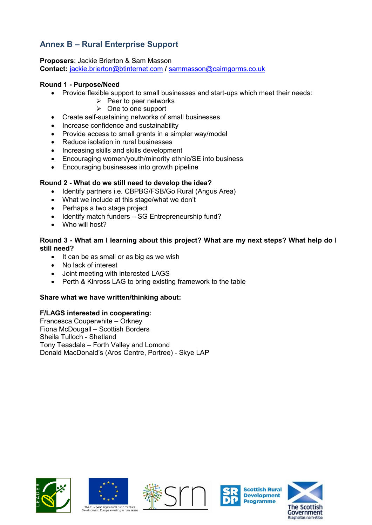# **Annex B – Rural Enterprise Support**

**Proposers**: Jackie Brierton & Sam Masson **Contact:** [jackie.brierton@btinternet.com](mailto:jackie.brierton@btinternet.com) **/** [sammasson@cairngorms.co.uk](mailto:sammasson@cairngorms.co.uk)

## **Round 1 - Purpose/Need**

- Provide flexible support to small businesses and start-ups which meet their needs:
	- $\triangleright$  Peer to peer networks
	- $\triangleright$  One to one support
- Create self-sustaining networks of small businesses
- Increase confidence and sustainability
- Provide access to small grants in a simpler way/model
- Reduce isolation in rural businesses
- Increasing skills and skills development
- Encouraging women/youth/minority ethnic/SE into business
- Encouraging businesses into growth pipeline

## **Round 2 - What do we still need to develop the idea?**

- Identify partners i.e. CBPBG/FSB/Go Rural (Angus Area)
- What we include at this stage/what we don't
- Perhaps a two stage project
- Identify match funders SG Entrepreneurship fund?
- Who will host?

### **Round 3 - What am I learning about this project? What are my next steps? What help do** I **still need?**

- It can be as small or as big as we wish
- No lack of interest
- Joint meeting with interested LAGS
- Perth & Kinross LAG to bring existing framework to the table

## **Share what we have written/thinking about:**

## **F/LAGS interested in cooperating:**

Francesca Couperwhite – Orkney Fiona McDougall – Scottish Borders Sheila Tulloch - Shetland Tony Teasdale – Forth Valley and Lomond Donald MacDonald's (Aros Centre, Portree) - Skye LAP









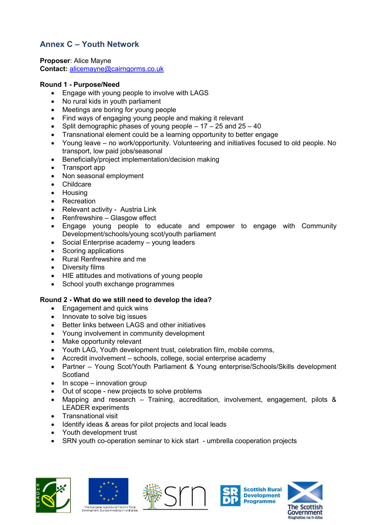# **Annex C – Youth Network**

**Proposer**: Alice Mayne **Contact:** [alicemayne@cairngorms.co.uk](mailto:alicemayne@cairngorms.co.uk)

## **Round 1 - Purpose/Need**

- Engage with young people to involve with LAGS
- No rural kids in youth parliament
- Meetings are boring for young people
- Find ways of engaging young people and making it relevant
- Split demographic phases of young people 17 25 and 25 40
- Transnational element could be a learning opportunity to better engage
- Young leave no work/opportunity. Volunteering and initiatives focused to old people. No transport, low paid jobs/seasonal
- Beneficially/project implementation/decision making
- Transport app
- Non seasonal employment
- **Childcare**
- Housing
- Recreation
- Relevant activity Austria Link
- Renfrewshire Glasgow effect
- Engage young people to educate and empower to engage with Community Development/schools/young scot/youth parliament
- Social Enterprise academy young leaders
- Scoring applications
- Rural Renfrewshire and me
- Diversity films
- HIE attitudes and motivations of young people
- School youth exchange programmes

## **Round 2 - What do we still need to develop the idea?**

- Engagement and quick wins
- Innovate to solve big issues
- Better links between LAGS and other initiatives
- Young involvement in community development
- Make opportunity relevant
- Youth LAG, Youth development trust, celebration film, mobile comms,
- Accredit involvement schools, college, social enterprise academy
- Partner Young Scot/Youth Parliament & Young enterprise/Schools/Skills development **Scotland**
- $\bullet$  In scope innovation group
- Out of scope new projects to solve problems
- Mapping and research Training, accreditation, involvement, engagement, pilots & LEADER experiments
- Transnational visit
- Identify ideas & areas for pilot projects and local leads
- Youth development trust
- SRN youth co-operation seminar to kick start umbrella cooperation projects











The European Agricultural Fund for Rural<br>Development: Europe investing in rural are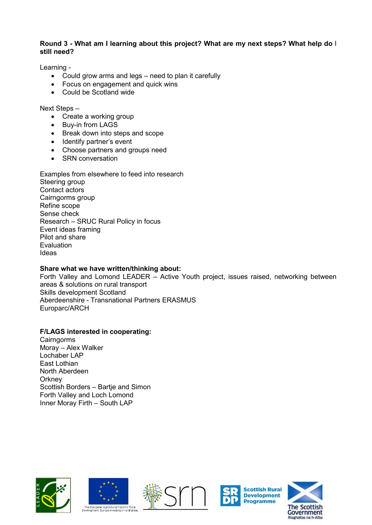### **Round 3 - What am I learning about this project? What are my next steps? What help do** I **still need?**

Learning -

- Could grow arms and legs need to plan it carefully
- Focus on engagement and quick wins
- Could be Scotland wide

Next Steps –

- Create a working group
- Buy-in from LAGS
- Break down into steps and scope
- Identify partner's event
- Choose partners and groups need
- SRN conversation

Examples from elsewhere to feed into research Steering group Contact actors Cairngorms group Refine scope Sense check Research – SRUC Rural Policy in focus Event ideas framing Pilot and share Evaluation Ideas

## **Share what we have written/thinking about:**

Forth Valley and Lomond LEADER – Active Youth project, issues raised, networking between areas & solutions on rural transport Skills development Scotland Aberdeenshire - Transnational Partners ERASMUS Europarc/ARCH

## **F/LAGS interested in cooperating:**

Cairngorms Moray – Alex Walker Lochaber LAP East Lothian North Aberdeen **Orkney** Scottish Borders – Bartje and Simon Forth Valley and Loch Lomond Inner Moray Firth – South LAP











Riaghaltas na h-Alba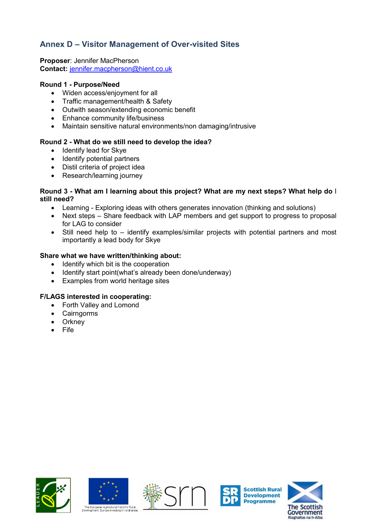## **Annex D – Visitor Management of Over-visited Sites**

**Proposer**: Jennifer MacPherson **Contact:** [jennifer.macpherson@hient.co.uk](mailto:jennifer.macpherson@hient.co.uk)

## **Round 1 - Purpose/Need**

- Widen access/enjoyment for all
- Traffic management/health & Safety
- Outwith season/extending economic benefit
- Enhance community life/business
- Maintain sensitive natural environments/non damaging/intrusive

## **Round 2 - What do we still need to develop the idea?**

- Identify lead for Skye
- Identify potential partners
- Distil criteria of project idea
- Research/learning journey

### **Round 3 - What am I learning about this project? What are my next steps? What help do** I **still need?**

- Learning Exploring ideas with others generates innovation (thinking and solutions)
- Next steps Share feedback with LAP members and get support to progress to proposal for LAG to consider
- Still need help to identify examples/similar projects with potential partners and most importantly a lead body for Skye

## **Share what we have written/thinking about:**

- Identify which bit is the cooperation
- Identify start point(what's already been done/underway)
- Examples from world heritage sites

## **F/LAGS interested in cooperating:**

- Forth Valley and Lomond
- **Cairngorms**
- **Orkney**
- Fife











Riaghaltas na h-Alba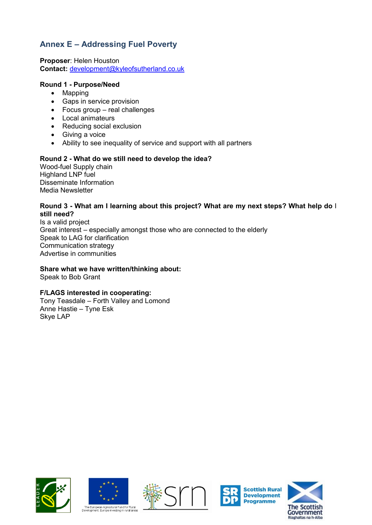# **Annex E – Addressing Fuel Poverty**

**Proposer**: Helen Houston **Contact:** [development@kyleofsutherland.co.uk](mailto:development@kyleofsutherland.co.uk)

## **Round 1 - Purpose/Need**

- Mapping
- Gaps in service provision
- Focus group real challenges
- Local animateurs
- Reducing social exclusion
- Giving a voice
- Ability to see inequality of service and support with all partners

### **Round 2 - What do we still need to develop the idea?**

Wood-fuel Supply chain Highland LNP fuel Disseminate Information Media Newsletter

#### **Round 3 - What am I learning about this project? What are my next steps? What help do** I **still need?**

Is a valid project Great interest – especially amongst those who are connected to the elderly Speak to LAG for clarification Communication strategy Advertise in communities

#### **Share what we have written/thinking about:**

Speak to Bob Grant

## **F/LAGS interested in cooperating:**

Tony Teasdale – Forth Valley and Lomond Anne Hastie – Tyne Esk Skye LAP













The European Agricultural Fund for Rural<br>Development: Furope investing in rural area